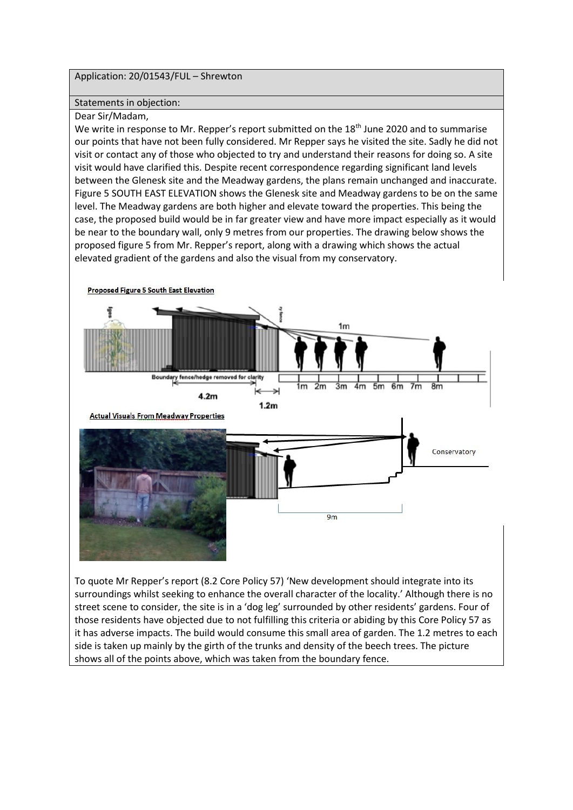## Application: 20/01543/FUL – Shrewton

## Statements in objection:

## Dear Sir/Madam,

We write in response to Mr. Repper's report submitted on the  $18<sup>th</sup>$  June 2020 and to summarise our points that have not been fully considered. Mr Repper says he visited the site. Sadly he did not visit or contact any of those who objected to try and understand their reasons for doing so. A site visit would have clarified this. Despite recent correspondence regarding significant land levels between the Glenesk site and the Meadway gardens, the plans remain unchanged and inaccurate. Figure 5 SOUTH EAST ELEVATION shows the Glenesk site and Meadway gardens to be on the same level. The Meadway gardens are both higher and elevate toward the properties. This being the case, the proposed build would be in far greater view and have more impact especially as it would be near to the boundary wall, only 9 metres from our properties. The drawing below shows the proposed figure 5 from Mr. Repper's report, along with a drawing which shows the actual elevated gradient of the gardens and also the visual from my conservatory.



To quote Mr Repper's report (8.2 Core Policy 57) 'New development should integrate into its surroundings whilst seeking to enhance the overall character of the locality.' Although there is no street scene to consider, the site is in a 'dog leg' surrounded by other residents' gardens. Four of those residents have objected due to not fulfilling this criteria or abiding by this Core Policy 57 as it has adverse impacts. The build would consume this small area of garden. The 1.2 metres to each side is taken up mainly by the girth of the trunks and density of the beech trees. The picture shows all of the points above, which was taken from the boundary fence.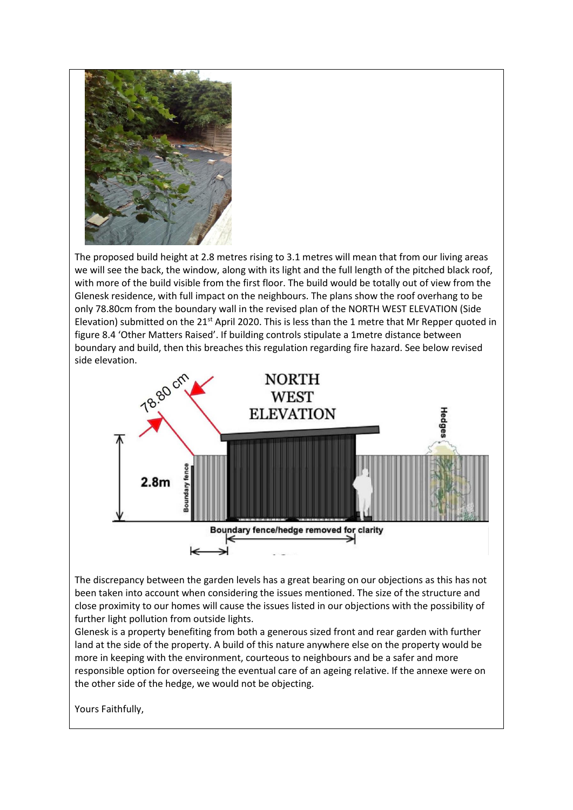

The proposed build height at 2.8 metres rising to 3.1 metres will mean that from our living areas we will see the back, the window, along with its light and the full length of the pitched black roof, with more of the build visible from the first floor. The build would be totally out of view from the Glenesk residence, with full impact on the neighbours. The plans show the roof overhang to be only 78.80cm from the boundary wall in the revised plan of the NORTH WEST ELEVATION (Side Elevation) submitted on the 21<sup>st</sup> April 2020. This is less than the 1 metre that Mr Repper quoted in figure 8.4 'Other Matters Raised'. If building controls stipulate a 1metre distance between boundary and build, then this breaches this regulation regarding fire hazard. See below revised side elevation.



The discrepancy between the garden levels has a great bearing on our objections as this has not been taken into account when considering the issues mentioned. The size of the structure and close proximity to our homes will cause the issues listed in our objections with the possibility of further light pollution from outside lights.

Glenesk is a property benefiting from both a generous sized front and rear garden with further land at the side of the property. A build of this nature anywhere else on the property would be more in keeping with the environment, courteous to neighbours and be a safer and more responsible option for overseeing the eventual care of an ageing relative. If the annexe were on the other side of the hedge, we would not be objecting.

Yours Faithfully,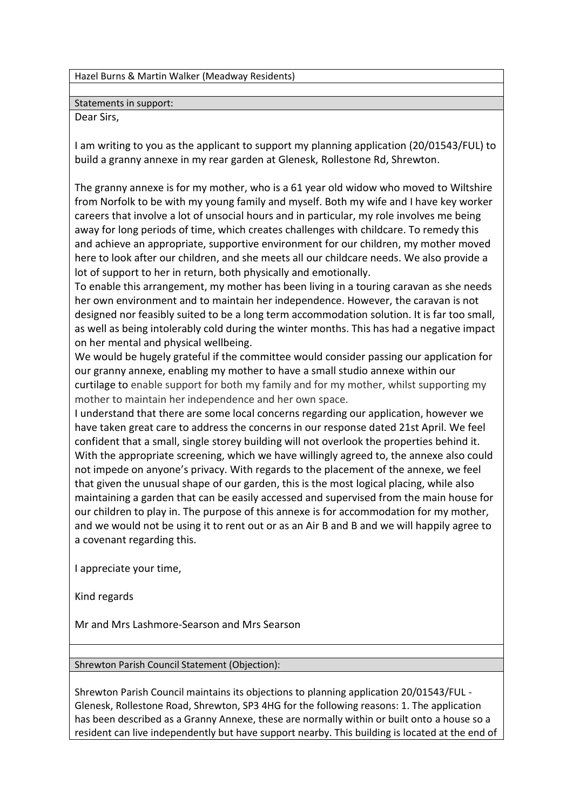Hazel Burns & Martin Walker (Meadway Residents)

Statements in support:

Dear Sirs,

I am writing to you as the applicant to support my planning application (20/01543/FUL) to build a granny annexe in my rear garden at Glenesk, Rollestone Rd, Shrewton.

The granny annexe is for my mother, who is a 61 year old widow who moved to Wiltshire from Norfolk to be with my young family and myself. Both my wife and I have key worker careers that involve a lot of unsocial hours and in particular, my role involves me being away for long periods of time, which creates challenges with childcare. To remedy this and achieve an appropriate, supportive environment for our children, my mother moved here to look after our children, and she meets all our childcare needs. We also provide a lot of support to her in return, both physically and emotionally.

To enable this arrangement, my mother has been living in a touring caravan as she needs her own environment and to maintain her independence. However, the caravan is not designed nor feasibly suited to be a long term accommodation solution. It is far too small, as well as being intolerably cold during the winter months. This has had a negative impact on her mental and physical wellbeing.

We would be hugely grateful if the committee would consider passing our application for our granny annexe, enabling my mother to have a small studio annexe within our curtilage to enable support for both my family and for my mother, whilst supporting my mother to maintain her independence and her own space.

I understand that there are some local concerns regarding our application, however we have taken great care to address the concerns in our response dated 21st April. We feel confident that a small, single storey building will not overlook the properties behind it. With the appropriate screening, which we have willingly agreed to, the annexe also could not impede on anyone's privacy. With regards to the placement of the annexe, we feel that given the unusual shape of our garden, this is the most logical placing, while also maintaining a garden that can be easily accessed and supervised from the main house for our children to play in. The purpose of this annexe is for accommodation for my mother, and we would not be using it to rent out or as an Air B and B and we will happily agree to a covenant regarding this.

I appreciate your time,

Kind regards

Mr and Mrs Lashmore-Searson and Mrs Searson

Shrewton Parish Council Statement (Objection):

Shrewton Parish Council maintains its objections to planning application 20/01543/FUL - Glenesk, Rollestone Road, Shrewton, SP3 4HG for the following reasons: 1. The application has been described as a Granny Annexe, these are normally within or built onto a house so a resident can live independently but have support nearby. This building is located at the end of